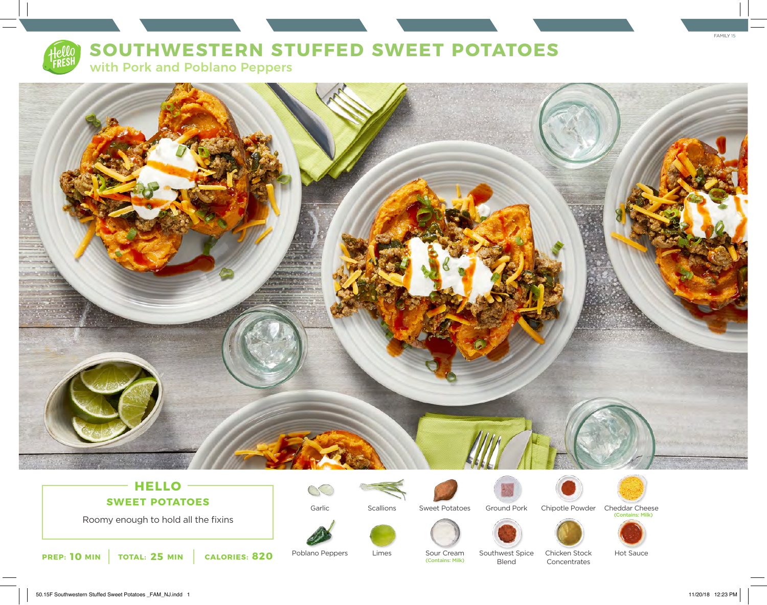

# **SOUTHWESTERN STUFFED SWEET POTATOES**

with Pork and Poblano Peppers



## **HELLO SWEET POTATOES**

Roomy enough to hold all the fixins



**Scallions** 

Limes



Ground Pork



Chipotle Powder Cheddar Cheese<br>Contains: Milk)



**PREP: 10** MIN **TOTAL: 25 MIN CALORIES: 820** Poblano Peppers Limes Sour Cream

Poblano Peppers

Sour Cream<br>(Contains: Milk)

Southwest Spice Blend

Chicken Stock Concentrates

Hot Sauce

FAMILY 15